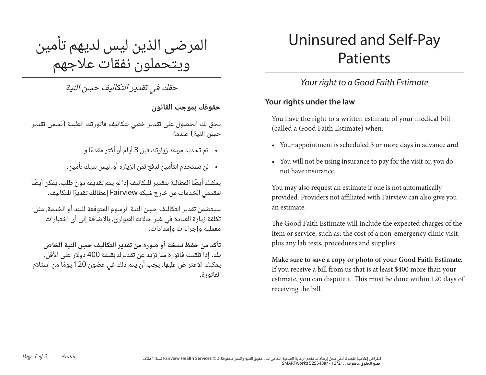المرضى الذين ليس لديهم تأمين ويتحملون نفقات علاجهم

ِ حقك في تقدير التكاليف حسن النية

حقوقك بموجب القانون

ِيحق لك الحصول على تقدير خطي بتكاليف فاتورتك الطبية )ُيسمى تقدير حسن النية) عندما:

- تم تحديد موعد زيارتك قبل 3 ً أيام أو أكثر مقدما <sup>و</sup>
- لن تستخدم التأمين لدفع ثمن الزيارة أو، ليس لديك تأمين.

يمكنك أيضًا المطالبة بتقدير للتكاليف إذا لم يتم تقديمه دون طلب. يمكن أيضًا لمقدمي الخدمات من خارج شبكة Fairview ً إعطائك تقديرا للتكاليف.

ِ سيتضمن تقدير التكاليف حسن النية الرسوم المتوقعة للبند أو الخدمة، مثل: تكلفة زيارة العيادة في غير حالات الطوارئ، بالإضافة إلى أي اختبارات معملية وإجراءات وإمدادات.

ِ تأكد من حفظ نسخة أو صورة من تقدير التكاليف حسن النية الخاص بك. إذا تلقيت فاتورة منا تزيد عن تقديرك بقيمة 400 دولار على الأقل، يمكنك الاعتراض عليها. يجب أن يتم ذلك في غضون 120 ً يوما من استلام الفاتورة.

# Uninsured and Self-Pay Patients

## *Your right to a Good Faith Estimate*

#### **Your rights under the law**

You have the right to a written estimate of your medical bill (called a Good Faith Estimate) when:

- Your appointment is scheduled 3 or more days in advance *and*
- You will not be using insurance to pay for the visit or, you do not have insurance.

You may also request an estimate if one is not automatically provided. Providers not affiliated with Fairview can also give you an estimate.

The Good Faith Estimate will include the expected charges of the item or service, such as: the cost of a non-emergency clinic visit, plus any lab tests, procedures and supplies.

**Make sure to save a copy or photo of your Good Faith Estimate.** If you receive a bill from us that is at least \$400 more than your estimate, you can dispute it. This must be done within 120 days of receiving the bill.